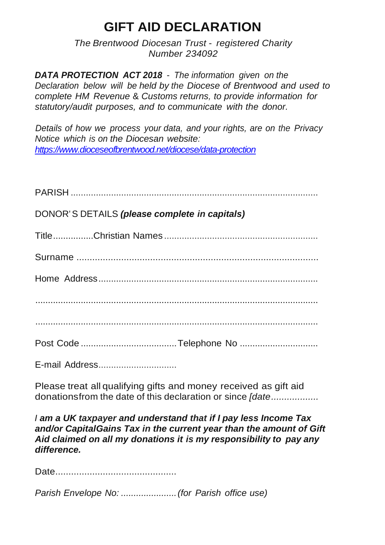## **GIFT AID DECLARATION**

*The Brentwood Diocesan Trust* - *registered Charity Number 234092*

*DATA PROTECTION ACT 2018* - *The information given on the Declaration below will be held by the Diocese of Brentwood and used to complete HM Revenue* & *Customs returns, to provide information for statutory/audit purposes, and to communicate with the donor.*

*Details of how we process your data, and your rights, are on the Privacy Notice which is on the Diocesan website: <https://www.dioceseofbrentwood.net/diocese/data-protection>*

| DONOR'S DETAILS (please complete in capitals) |
|-----------------------------------------------|
|                                               |
|                                               |
|                                               |
|                                               |
|                                               |
|                                               |
|                                               |

E-mail Address...............................

Please treat all qualifying gifts and money received as gift aid donationsfrom the date of this declaration or since *[date..................*

*I am a UK taxpayer and understand that if I pay less Income Tax and/or CapitalGains Tax in the current year than the amount of Gift Aid claimed on all my donations it is my responsibility to pay any difference.*

Date..............................................

*Parish Envelope No: ......................(for Parish office use)*